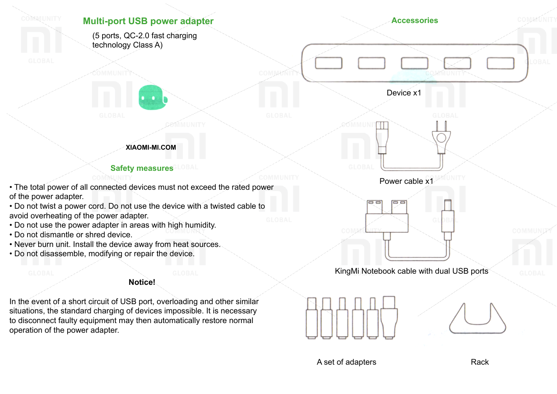

A set of adapters Rack